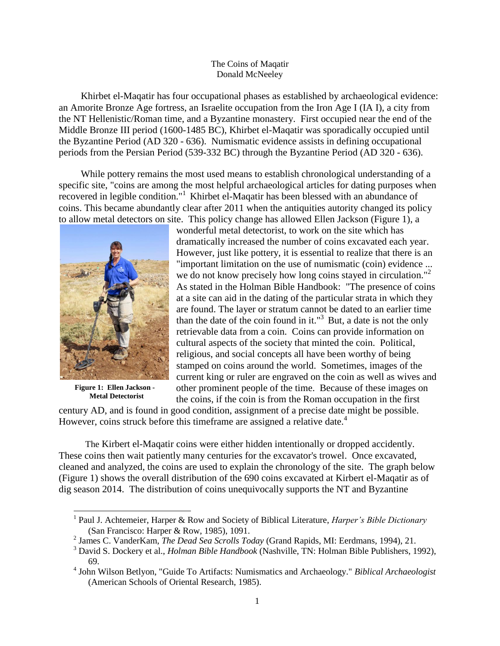## The Coins of Maqatir Donald McNeeley

Khirbet el-Maqatir has four occupational phases as established by archaeological evidence: an Amorite Bronze Age fortress, an Israelite occupation from the Iron Age I (IA I), a city from the NT Hellenistic/Roman time, and a Byzantine monastery. First occupied near the end of the Middle Bronze III period (1600-1485 BC), Khirbet el-Maqatir was sporadically occupied until the Byzantine Period (AD 320 - 636). Numismatic evidence assists in defining occupational periods from the Persian Period (539-332 BC) through the Byzantine Period (AD 320 - 636).

While pottery remains the most used means to establish chronological understanding of a specific site, "coins are among the most helpful archaeological articles for dating purposes when recovered in legible condition."<sup>1</sup> Khirbet el-Maqatir has been blessed with an abundance of coins. This became abundantly clear after 2011 when the antiquities autority changed its policy to allow metal detectors on site. This policy change has allowed Ellen Jackson (Figure 1), a



**Figure 1: Ellen Jackson - Metal Detectorist**

l

wonderful metal detectorist, to work on the site which has dramatically increased the number of coins excavated each year. However, just like pottery, it is essential to realize that there is an "important limitation on the use of numismatic (coin) evidence ... we do not know precisely how long coins stayed in circulation."<sup>2</sup> As stated in the Holman Bible Handbook: "The presence of coins at a site can aid in the dating of the particular strata in which they are found. The layer or stratum cannot be dated to an earlier time than the date of the coin found in it."<sup>3</sup> But, a date is not the only retrievable data from a coin. Coins can provide information on cultural aspects of the society that minted the coin. Political, religious, and social concepts all have been worthy of being stamped on coins around the world. Sometimes, images of the current king or ruler are engraved on the coin as well as wives and other prominent people of the time. Because of these images on the coins, if the coin is from the Roman occupation in the first

century AD, and is found in good condition, assignment of a precise date might be possible. However, coins struck before this timeframe are assigned a relative date.<sup>4</sup>

 The Kirbert el-Maqatir coins were either hidden intentionally or dropped accidently. These coins then wait patiently many centuries for the excavator's trowel. Once excavated, cleaned and analyzed, the coins are used to explain the chronology of the site. The graph below (Figure 1) shows the overall distribution of the 690 coins excavated at Kirbert el-Maqatir as of dig season 2014. The distribution of coins unequivocally supports the NT and Byzantine

<sup>&</sup>lt;sup>1</sup> Paul J. Achtemeier, Harper & Row and Society of Biblical Literature, *Harper's Bible Dictionary* (San Francisco: Harper & Row, 1985), 1091.

<sup>2</sup> James C. VanderKam, *The Dead Sea Scrolls Today* (Grand Rapids, MI: Eerdmans, 1994), 21.

<sup>3</sup> David S. Dockery et al., *Holman Bible Handbook* (Nashville, TN: Holman Bible Publishers, 1992), 69.

<sup>4</sup> John Wilson Betlyon, "Guide To Artifacts: Numismatics and Archaeology." *Biblical Archaeologist* (American Schools of Oriental Research, 1985).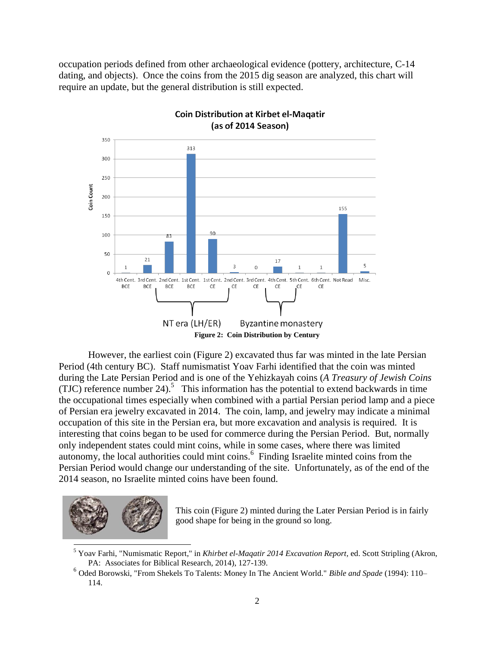occupation periods defined from other archaeological evidence (pottery, architecture, C-14 dating, and objects). Once the coins from the 2015 dig season are analyzed, this chart will require an update, but the general distribution is still expected.



However, the earliest coin (Figure 2) excavated thus far was minted in the late Persian Period (4th century BC). Staff numismatist Yoav Farhi identified that the coin was minted during the Late Persian Period and is one of the Yehizkayah coins (*A Treasury of Jewish Coins* (TJC) reference number 24).<sup>5</sup> This information has the potential to extend backwards in time the occupational times especially when combined with a partial Persian period lamp and a piece of Persian era jewelry excavated in 2014. The coin, lamp, and jewelry may indicate a minimal occupation of this site in the Persian era, but more excavation and analysis is required. It is interesting that coins began to be used for commerce during the Persian Period. But, normally only independent states could mint coins, while in some cases, where there was limited autonomy, the local authorities could mint coins.<sup>6</sup> Finding Israelite minted coins from the Persian Period would change our understanding of the site. Unfortunately, as of the end of the 2014 season, no Israelite minted coins have been found.



This coin (Figure 2) minted during the Later Persian Period is in fairly good shape for being in the ground so long.

<sup>5</sup> Yoav Farhi, "Numismatic Report," in *Khirbet el-Maqatir 2014 Excavation Report,* ed. Scott Stripling (Akron, PA: Associates for Biblical Research, 2014), 127-139.

<sup>6</sup> Oded Borowski, "From Shekels To Talents: Money In The Ancient World." *Bible and Spade* (1994): 110– 114.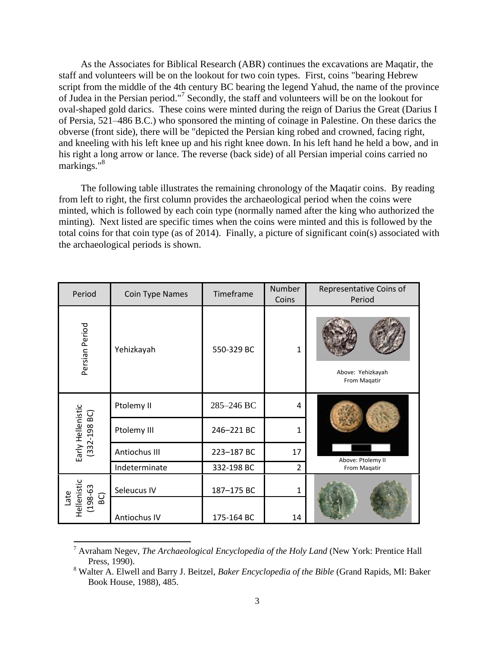As the Associates for Biblical Research (ABR) continues the excavations are Maqatir, the staff and volunteers will be on the lookout for two coin types. First, coins "bearing Hebrew script from the middle of the 4th century BC bearing the legend Yahud, the name of the province of Judea in the Persian period." 7 Secondly, the staff and volunteers will be on the lookout for oval-shaped gold darics. These coins were minted during the reign of Darius the Great (Darius I of Persia, 521–486 B.C.) who sponsored the minting of coinage in Palestine. On these darics the obverse (front side), there will be "depicted the Persian king robed and crowned, facing right, and kneeling with his left knee up and his right knee down. In his left hand he held a bow, and in his right a long arrow or lance. The reverse (back side) of all Persian imperial coins carried no markings."<sup>8</sup>

The following table illustrates the remaining chronology of the Maqatir coins. By reading from left to right, the first column provides the archaeological period when the coins were minted, which is followed by each coin type (normally named after the king who authorized the minting). Next listed are specific times when the coins were minted and this is followed by the total coins for that coin type (as of 2014). Finally, a picture of significant coin(s) associated with the archaeological periods is shown.

| Period                              | Coin Type Names | Timeframe  | Number<br>Coins | Representative Coins of<br>Period |
|-------------------------------------|-----------------|------------|-----------------|-----------------------------------|
| Persian Period                      | Yehizkayah      | 550-329 BC | 1               | Above: Yehizkayah<br>From Magatir |
| Early Hellenistic<br>332-198 BC)    | Ptolemy II      | 285-246 BC | 4               | Above: Ptolemy II<br>From Magatir |
|                                     | Ptolemy III     | 246-221 BC | 1               |                                   |
|                                     | Antiochus III   | 223-187 BC | 17              |                                   |
|                                     | Indeterminate   | 332-198 BC | $\overline{2}$  |                                   |
| Late<br>Hellenistic<br>$(198 - 63)$ | Seleucus IV     | 187-175 BC | 1               |                                   |
|                                     | Antiochus IV    | 175-164 BC | 14              |                                   |

<sup>7</sup> Avraham Negev, *The Archaeological Encyclopedia of the Holy Land* (New York: Prentice Hall Press, 1990).

l

<sup>8</sup> Walter A. Elwell and Barry J. Beitzel, *Baker Encyclopedia of the Bible* (Grand Rapids, MI: Baker Book House, 1988), 485.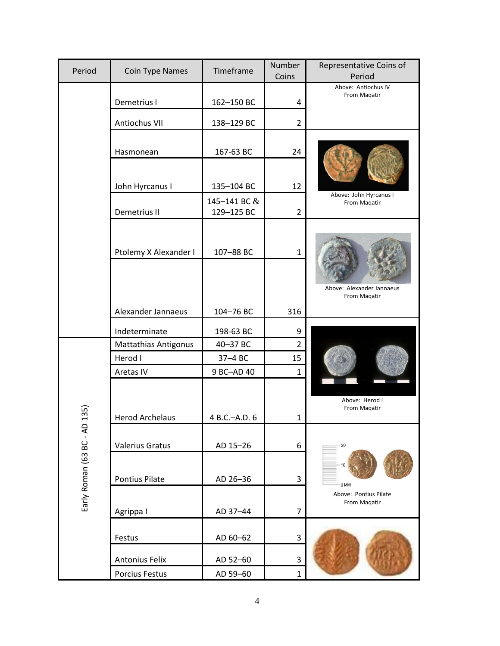| Period                  | <b>Coin Type Names</b>      | Timeframe                  | Number<br>Coins | Representative Coins of<br>Period         |
|-------------------------|-----------------------------|----------------------------|-----------------|-------------------------------------------|
|                         | Demetrius I                 | 162-150 BC                 | 4               | Above: Antiochus IV<br>From Magatir       |
|                         | Antiochus VII               | 138-129 BC                 | $\overline{2}$  |                                           |
|                         | Hasmonean                   | 167-63 BC                  | 24              |                                           |
|                         |                             |                            |                 |                                           |
|                         | John Hyrcanus I             | 135-104 BC                 | 12              |                                           |
|                         | Demetrius II                | 145-141 BC &<br>129-125 BC | 2               | Above: John Hyrcanus I<br>From Magatir    |
|                         | Ptolemy X Alexander I       | 107-88 BC                  | $\mathbf{1}$    | Above: Alexander Jannaeus<br>From Magatir |
|                         |                             |                            |                 |                                           |
|                         | Alexander Jannaeus          | 104-76 BC                  | 316             |                                           |
|                         | Indeterminate               | 198-63 BC                  | 9               |                                           |
|                         | <b>Mattathias Antigonus</b> | 40-37 BC                   | $\overline{2}$  |                                           |
|                         | Herod I                     | 37-4 BC                    | 15              |                                           |
|                         | Aretas IV                   | 9 BC-AD 40                 | $\mathbf{1}$    |                                           |
| 135                     |                             | 4 B.C.-A.D. 6              |                 | Above: Herod I<br>From Magatir            |
|                         | <b>Herod Archelaus</b>      |                            | 1               |                                           |
| Early Roman (63 BC - AD | <b>Valerius Gratus</b>      | AD 15-26                   | 6               | 20                                        |
|                         | <b>Pontius Pilate</b>       | AD 26-36                   | 3               | 0 MM                                      |
|                         | Agrippa I                   | AD 37-44                   | $\overline{7}$  | Above: Pontius Pilate<br>From Maqatir     |
|                         | Festus                      | AD 60-62                   | 3               |                                           |
|                         | <b>Antonius Felix</b>       | AD 52-60                   | 3               |                                           |
|                         | Porcius Festus              | AD 59-60                   | $\mathbf{1}$    |                                           |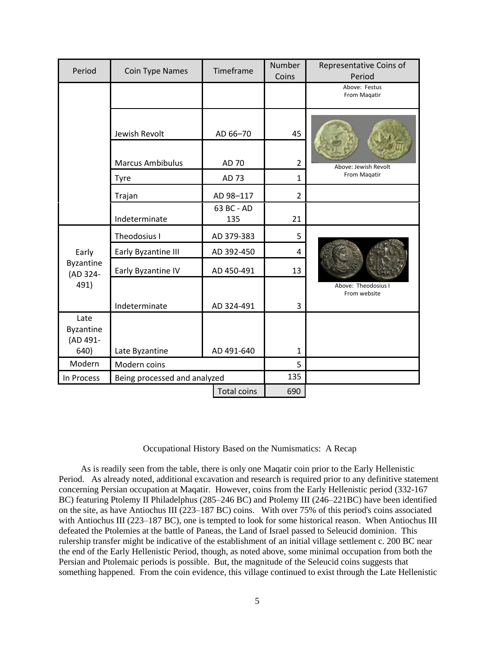| Period                                     | Coin Type Names         | Timeframe          | Number<br>Coins | Representative Coins of<br>Period    |
|--------------------------------------------|-------------------------|--------------------|-----------------|--------------------------------------|
|                                            |                         |                    |                 | Above: Festus<br>From Maqatir        |
|                                            | Jewish Revolt           | AD 66-70           | 45              | Above: Jewish Revolt<br>From Magatir |
|                                            | <b>Marcus Ambibulus</b> | AD 70              | $\overline{2}$  |                                      |
|                                            | <b>Tyre</b>             | AD 73              | $\mathbf{1}$    |                                      |
|                                            | Trajan                  | AD 98-117          | $\overline{2}$  |                                      |
|                                            | Indeterminate           | 63 BC - AD<br>135  | 21              |                                      |
| Early<br>Byzantine<br>(AD 324-<br>491)     | Theodosius I            | AD 379-383         | 5               | Above: Theodosius I<br>From website  |
|                                            | Early Byzantine III     | AD 392-450         | 4               |                                      |
|                                            | Early Byzantine IV      | AD 450-491         | 13              |                                      |
|                                            | Indeterminate           | AD 324-491         | 3               |                                      |
| Late<br>Byzantine<br>(AD 491-              |                         |                    |                 |                                      |
| 640)                                       | Late Byzantine          | AD 491-640         | $\mathbf{1}$    |                                      |
| Modern                                     | Modern coins            |                    | 5               |                                      |
| Being processed and analyzed<br>In Process |                         |                    | 135             |                                      |
|                                            |                         | <b>Total coins</b> | 690             |                                      |

## Occupational History Based on the Numismatics: A Recap

As is readily seen from the table, there is only one Maqatir coin prior to the Early Hellenistic Period. As already noted, additional excavation and research is required prior to any definitive statement concerning Persian occupation at Maqatir. However, coins from the Early Hellenistic period (332-167 BC) featuring Ptolemy II Philadelphus (285–246 BC) and Ptolemy III (246–221BC) have been identified on the site, as have Antiochus III (223–187 BC) coins. With over 75% of this period's coins associated with Antiochus III (223–187 BC), one is tempted to look for some historical reason. When Antiochus III defeated the Ptolemies at the battle of Paneas, the Land of Israel passed to Seleucid dominion. This rulership transfer might be indicative of the establishment of an initial village settlement c. 200 BC near the end of the Early Hellenistic Period, though, as noted above, some minimal occupation from both the Persian and Ptolemaic periods is possible. But, the magnitude of the Seleucid coins suggests that something happened. From the coin evidence, this village continued to exist through the Late Hellenistic